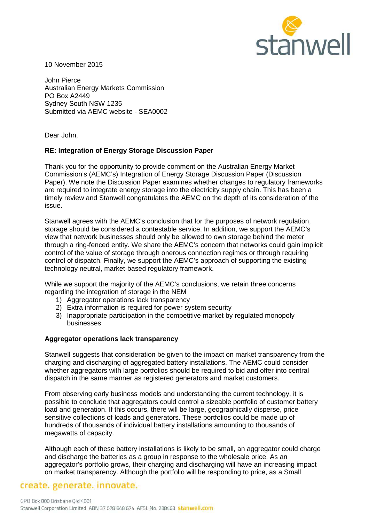

10 November 2015

John Pierce Australian Energy Markets Commission PO Box A2449 Sydney South NSW 1235 Submitted via AEMC website - SEA0002

Dear John,

## **RE: Integration of Energy Storage Discussion Paper**

Thank you for the opportunity to provide comment on the Australian Energy Market Commission's (AEMC's) Integration of Energy Storage Discussion Paper (Discussion Paper). We note the Discussion Paper examines whether changes to regulatory frameworks are required to integrate energy storage into the electricity supply chain. This has been a timely review and Stanwell congratulates the AEMC on the depth of its consideration of the issue.

Stanwell agrees with the AEMC's conclusion that for the purposes of network regulation, storage should be considered a contestable service. In addition, we support the AEMC's view that network businesses should only be allowed to own storage behind the meter through a ring-fenced entity. We share the AEMC's concern that networks could gain implicit control of the value of storage through onerous connection regimes or through requiring control of dispatch. Finally, we support the AEMC's approach of supporting the existing technology neutral, market-based regulatory framework.

While we support the majority of the AEMC's conclusions, we retain three concerns regarding the integration of storage in the NEM

- 1) Aggregator operations lack transparency
- 2) Extra information is required for power system security
- 3) Inappropriate participation in the competitive market by regulated monopoly businesses

## **Aggregator operations lack transparency**

Stanwell suggests that consideration be given to the impact on market transparency from the charging and discharging of aggregated battery installations. The AEMC could consider whether aggregators with large portfolios should be required to bid and offer into central dispatch in the same manner as registered generators and market customers.

From observing early business models and understanding the current technology, it is possible to conclude that aggregators could control a sizeable portfolio of customer battery load and generation. If this occurs, there will be large, geographically disperse, price sensitive collections of loads and generators. These portfolios could be made up of hundreds of thousands of individual battery installations amounting to thousands of megawatts of capacity.

Although each of these battery installations is likely to be small, an aggregator could charge and discharge the batteries as a group in response to the wholesale price. As an aggregator's portfolio grows, their charging and discharging will have an increasing impact on market transparency. Although the portfolio will be responding to price, as a Small

# create. generate. innovate.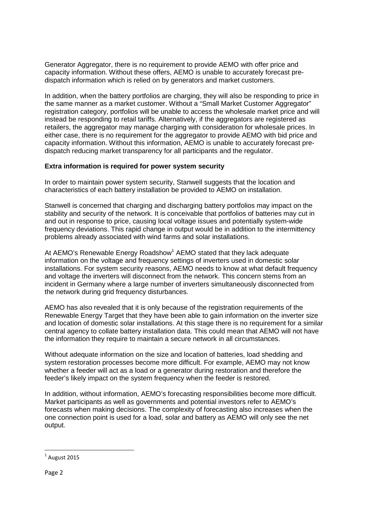Generator Aggregator, there is no requirement to provide AEMO with offer price and capacity information. Without these offers, AEMO is unable to accurately forecast predispatch information which is relied on by generators and market customers.

In addition, when the battery portfolios are charging, they will also be responding to price in the same manner as a market customer. Without a "Small Market Customer Aggregator" registration category, portfolios will be unable to access the wholesale market price and will instead be responding to retail tariffs. Alternatively, if the aggregators are registered as retailers, the aggregator may manage charging with consideration for wholesale prices. In either case, there is no requirement for the aggregator to provide AEMO with bid price and capacity information. Without this information, AEMO is unable to accurately forecast predispatch reducing market transparency for all participants and the regulator.

## **Extra information is required for power system security**

In order to maintain power system security, Stanwell suggests that the location and characteristics of each battery installation be provided to AEMO on installation.

Stanwell is concerned that charging and discharging battery portfolios may impact on the stability and security of the network. It is conceivable that portfolios of batteries may cut in and out in response to price, causing local voltage issues and potentially system-wide frequency deviations. This rapid change in output would be in addition to the intermittency problems already associated with wind farms and solar installations.

At AEMO's Renewable Energy Roadshow<sup>1</sup> AEMO stated that they lack adequate information on the voltage and frequency settings of inverters used in domestic solar installations. For system security reasons, AEMO needs to know at what default frequency and voltage the inverters will disconnect from the network. This concern stems from an incident in Germany where a large number of inverters simultaneously disconnected from the network during grid frequency disturbances.

AEMO has also revealed that it is only because of the registration requirements of the Renewable Energy Target that they have been able to gain information on the inverter size and location of domestic solar installations. At this stage there is no requirement for a similar central agency to collate battery installation data. This could mean that AEMO will not have the information they require to maintain a secure network in all circumstances.

Without adequate information on the size and location of batteries, load shedding and system restoration processes become more difficult. For example, AEMO may not know whether a feeder will act as a load or a generator during restoration and therefore the feeder's likely impact on the system frequency when the feeder is restored.

In addition, without information, AEMO's forecasting responsibilities become more difficult. Market participants as well as governments and potential investors refer to AEMO's forecasts when making decisions. The complexity of forecasting also increases when the one connection point is used for a load, solar and battery as AEMO will only see the net output.

 $\overline{a}$ 

 $<sup>1</sup>$  August 2015</sup>